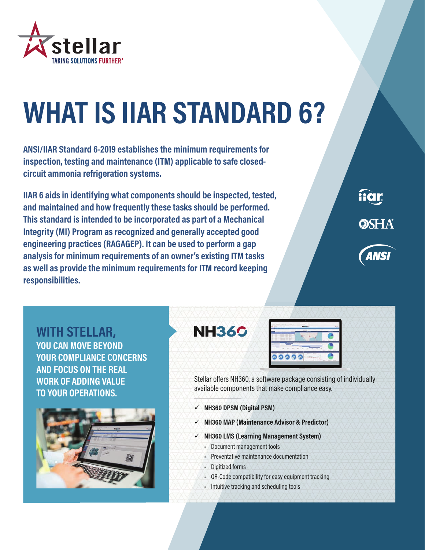

## **WHAT IS IIAR STANDARD 6?**

**ANSI/IIAR Standard 6-2019 establishes the minimum requirements for inspection, testing and maintenance (ITM) applicable to safe closedcircuit ammonia refrigeration systems.**

**IIAR 6 aids in identifying what components should be inspected, tested, and maintained and how frequently these tasks should be performed. This standard is intended to be incorporated as part of a Mechanical Integrity (MI) Program as recognized and generally accepted good engineering practices (RAGAGEP). It can be used to perform a gap analysis for minimum requirements of an owner's existing ITM tasks as well as provide the minimum requirements for ITM record keeping responsibilities.**



**WITH STELLAR, YOU CAN MOVE BEYOND YOUR COMPLIANCE CONCERNS AND FOCUS ON THE REAL WORK OF ADDING VALUE TO YOUR OPERATIONS.**



**NH360** 



Stellar offers NH360, a software package consisting of individually available components that make compliance easy.

- **NH360 DPSM (Digital PSM)**
- **NH360 MAP (Maintenance Advisor & Predictor)**
- **NH360 LMS (Learning Management System)**
	- Document management tools
	- Preventative maintenance documentation
	- Digitized forms
	- QR-Code compatibility for easy equipment tracking
	- Intuitive tracking and scheduling tools